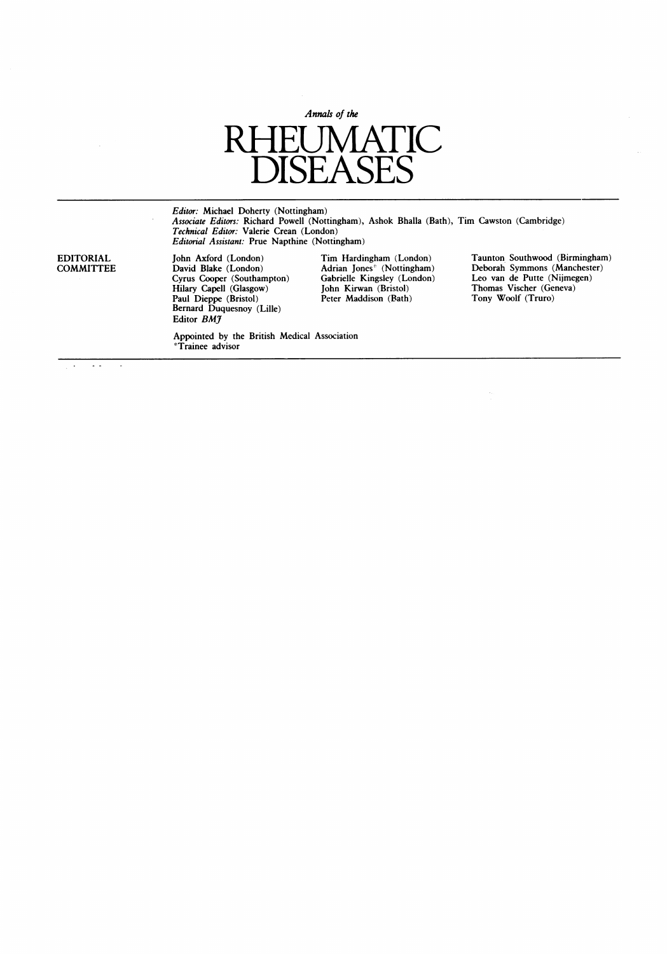

*Editor: N*ichael Doherty (Nottingham)<br>*Associate Editors:* Richard Powell (Nottingham), Ashok Bhalla (Bath), Tim Cawston (Cambridge) Technical Editor: Valerie Crean (London) Editorial Assistant: Prue Napthine (Nottingham)

Hilary Capell (Glasgow) John Kirwan (Bristol) Thomas Vischer (Geneva) Paul Dieppe (Bristol) Peter Maddison (Bath) Tony Woolf (Truro) Bernard Duquesnoy (Lille) Editor **BM**J

'Trainee advisor

Appointed by the British Medical Association

Cyrus Cyrus Cooper (Notingham)<br>
Cyrus Cabrielle Kingsley (London)<br>
John Kirwan (Bristol)<br>
Peter Maddison (Bath)<br>
Tony Woolf (Truro)

EDITORIAL John Axford (London) Tim Hardingham (London) Taunton Southwood (Birmingham)<br>COMMITTEE David Blake (London) Adrian Jones<sup>\*</sup> (Nottingham) Deborah Symmons (Manchester)<br>Cyrus Cooper (Southampton) Gabrielle Kingsley ( COMMITTEE David Blake (London) Adrian Jones\* (Nottingham) Deborah Symmons (Manchester)

 $\bar{\mathcal{A}}$ 

 $\ddot{\phantom{a}}$  $\sim$   $\sim$  $\overline{a}$